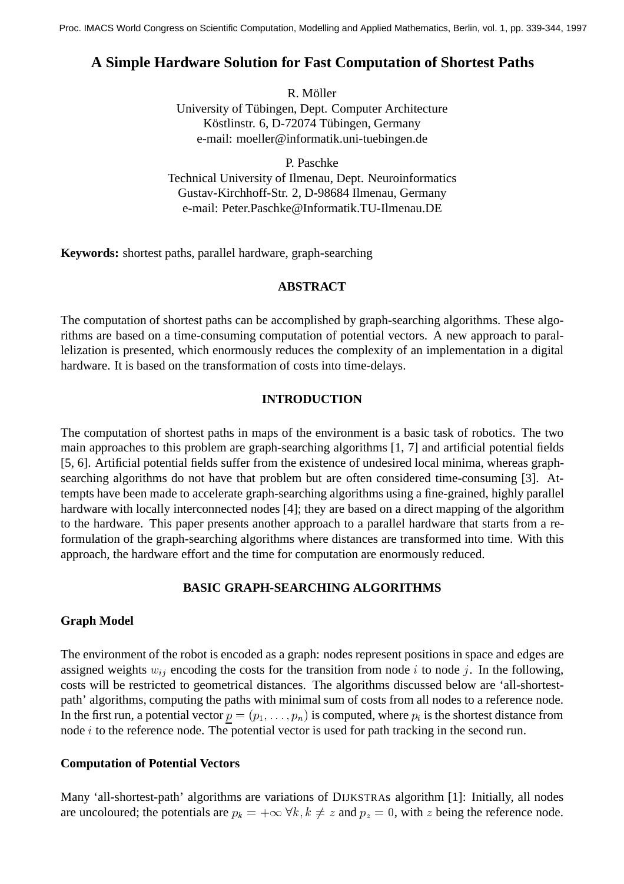# **A Simple Hardware Solution for Fast Computation of Shortest Paths**

R. Möller

University of Tübingen, Dept. Computer Architecture Köstlinstr. 6, D-72074 Tübingen, Germany e-mail: moeller@informatik.uni-tuebingen.de

P. Paschke Technical University of Ilmenau, Dept. Neuroinformatics Gustav-Kirchhoff-Str. 2, D-98684 Ilmenau, Germany e-mail: Peter.Paschke@Informatik.TU-Ilmenau.DE

**Keywords:** shortest paths, parallel hardware, graph-searching

### **ABSTRACT**

The computation of shortest paths can be accomplished by graph-searching algorithms. These algorithms are based on a time-consuming computation of potential vectors. A new approach to parallelization is presented, which enormously reduces the complexity of an implementation in a digital hardware. It is based on the transformation of costs into time-delays.

### **INTRODUCTION**

The computation of shortest paths in maps of the environment is a basic task of robotics. The two main approaches to this problem are graph-searching algorithms [1, 7] and artificial potential fields [5, 6]. Artificial potential fields suffer from the existence of undesired local minima, whereas graphsearching algorithms do not have that problem but are often considered time-consuming [3]. Attempts have been made to accelerate graph-searching algorithms using a fine-grained, highly parallel hardware with locally interconnected nodes [4]; they are based on a direct mapping of the algorithm to the hardware. This paper presents another approach to a parallel hardware that starts from a reformulation of the graph-searching algorithms where distances are transformed into time. With this approach, the hardware effort and the time for computation are enormously reduced.

# **BASIC GRAPH-SEARCHING ALGORITHMS**

# **Graph Model**

The environment of the robot is encoded as a graph: nodes represent positions in space and edges are assigned weights  $w_{ij}$  encoding the costs for the transition from node i to node j. In the following, costs will be restricted to geometrical distances. The algorithms discussed below are 'all-shortestpath' algorithms, computing the paths with minimal sum of costs from all nodes to a reference node. In the first run, a potential vector  $p = (p_1, \ldots, p_n)$  is computed, where  $p_i$  is the shortest distance from node *i* to the reference node. The potential vector is used for path tracking in the second run.

# **Computation of Potential Vectors**

Many 'all-shortest-path' algorithms are variations of DIJKSTRAs algorithm [1]: Initially, all nodes are uncoloured; the potentials are  $p_k = +\infty \ \forall k, k \neq z$  and  $p_z = 0$ , with z being the reference node.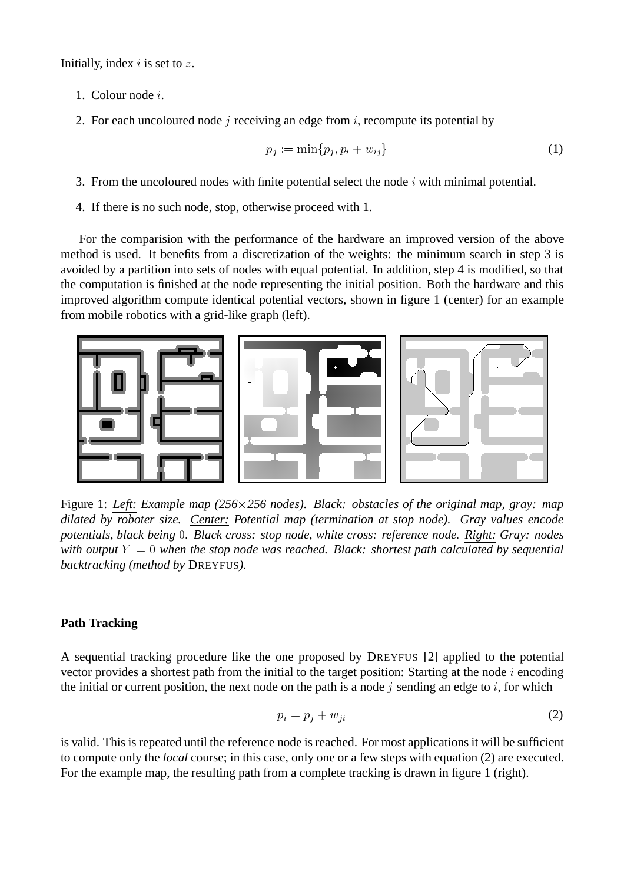Initially, index  $i$  is set to  $z$ .

- 1. Colour node <sup>i</sup>.
- 2. For each uncoloured node j receiving an edge from  $i$ , recompute its potential by

$$
p_j := \min\{p_j, p_i + w_{ij}\}\tag{1}
$$

- 3. From the uncoloured nodes with finite potential select the node  $i$  with minimal potential.
- 4. If there is no such node, stop, otherwise proceed with 1.

For the comparision with the performance of the hardware an improved version of the above method is used. It benefits from a discretization of the weights: the minimum search in step 3 is avoided by a partition into sets of nodes with equal potential. In addition, step 4 is modified, so that the computation is finished at the node representing the initial position. Both the hardware and this improved algorithm compute identical potential vectors, shown in figure 1 (center) for an example from mobile robotics with a grid-like graph (left).



Figure 1: *Left: Example map (256256 nodes). Black: obstacles of the original map, gray: map dilated by roboter size. Center: Potential map (termination at stop node). Gray values encode potentials, black being . Black cross: stop node, white cross: reference node. Right: Gray: nodes with output*  $Y = 0$  *when the stop node was reached. Black: shortest path calculated by sequential backtracking (method by* DREYFUS*).*

#### **Path Tracking**

A sequential tracking procedure like the one proposed by DREYFUS [2] applied to the potential vector provides a shortest path from the initial to the target position: Starting at the node  $i$  encoding the initial or current position, the next node on the path is a node  $j$  sending an edge to  $i$ , for which

$$
p_i = p_j + w_{ji} \tag{2}
$$

is valid. This is repeated until the reference node is reached. For most applications it will be sufficient to compute only the *local* course; in this case, only one or a few steps with equation (2) are executed. For the example map, the resulting path from a complete tracking is drawn in figure 1 (right).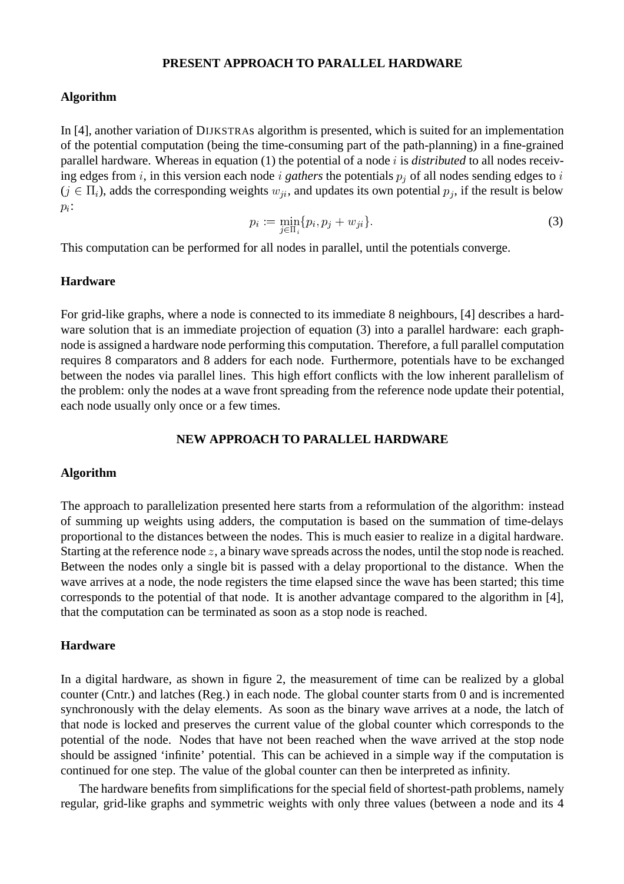### **PRESENT APPROACH TO PARALLEL HARDWARE**

#### **Algorithm**

In [4], another variation of DIJKSTRAs algorithm is presented, which is suited for an implementation of the potential computation (being the time-consuming part of the path-planning) in a fine-grained parallel hardware. Whereas in equation (1) the potential of a node <sup>i</sup> is *distributed* to all nodes receiving edges from i, in this version each node i *gathers* the potentials  $p_i$  of all nodes sending edges to i  $(j \in \Pi_i)$ , adds the corresponding weights  $w_{ji}$ , and updates its own potential  $p_i$ , if the result is below  $p_i$ :

$$
p_i := \min_{j \in \Pi_i} \{ p_i, p_j + w_{ji} \}.
$$
 (3)

j-This computation can be performed for all nodes in parallel, until the potentials converge.

#### **Hardware**

For grid-like graphs, where a node is connected to its immediate 8 neighbours, [4] describes a hardware solution that is an immediate projection of equation (3) into a parallel hardware: each graphnode is assigned a hardware node performing this computation. Therefore, a full parallel computation requires 8 comparators and 8 adders for each node. Furthermore, potentials have to be exchanged between the nodes via parallel lines. This high effort conflicts with the low inherent parallelism of the problem: only the nodes at a wave front spreading from the reference node update their potential, each node usually only once or a few times.

#### **NEW APPROACH TO PARALLEL HARDWARE**

#### **Algorithm**

The approach to parallelization presented here starts from a reformulation of the algorithm: instead of summing up weights using adders, the computation is based on the summation of time-delays proportional to the distances between the nodes. This is much easier to realize in a digital hardware. Starting at the reference node z, a binary wave spreads across the nodes, until the stop node is reached. Between the nodes only a single bit is passed with a delay proportional to the distance. When the wave arrives at a node, the node registers the time elapsed since the wave has been started; this time corresponds to the potential of that node. It is another advantage compared to the algorithm in [4], that the computation can be terminated as soon as a stop node is reached.

#### **Hardware**

In a digital hardware, as shown in figure 2, the measurement of time can be realized by a global counter (Cntr.) and latches (Reg.) in each node. The global counter starts from 0 and is incremented synchronously with the delay elements. As soon as the binary wave arrives at a node, the latch of that node is locked and preserves the current value of the global counter which corresponds to the potential of the node. Nodes that have not been reached when the wave arrived at the stop node should be assigned 'infinite' potential. This can be achieved in a simple way if the computation is continued for one step. The value of the global counter can then be interpreted as infinity.

The hardware benefits from simplifications for the special field of shortest-path problems, namely regular, grid-like graphs and symmetric weights with only three values (between a node and its 4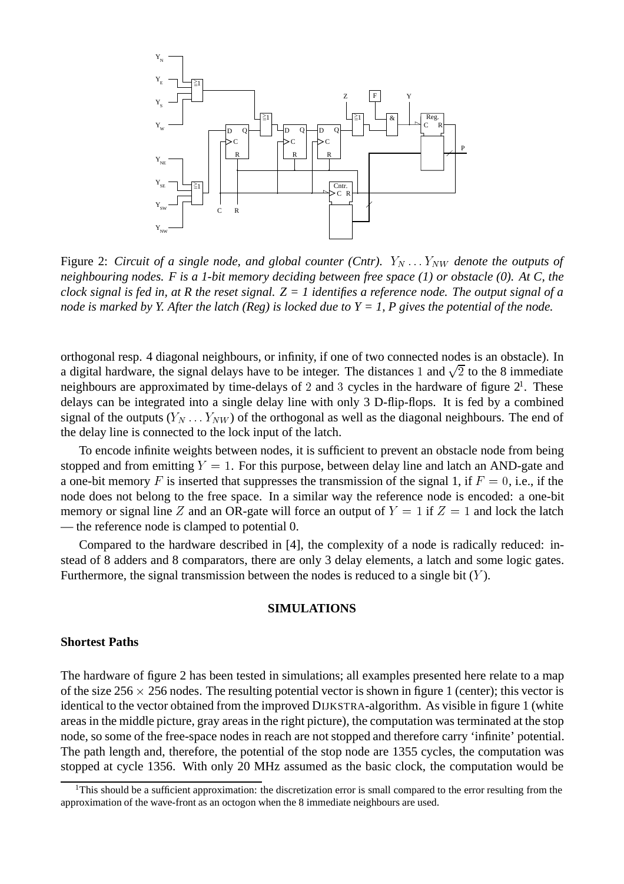

Figure 2: *Circuit of a single node, and global counter (Cntr).*  $Y_N \dots Y_{NW}$  *denote the outputs of neighbouring nodes. F is a 1-bit memory deciding between free space (1) or obstacle (0). At C, the clock signal is fed in, at R the reset signal. Z = 1 identifies a reference node. The output signal of a node is marked by Y. After the latch (Reg) is locked due to Y = 1, P gives the potential of the node.*

orthogonal resp. 4 diagonal neighbours, or infinity, if one of two connected nodes is an obstacle). In a digital hardware, the signal delays have to be integer. The distances 1 and  $\sqrt{2}$  to the 8 immediate neighbours are approximated by time-delays of 2 and 3 cycles in the hardware of figure  $2<sup>1</sup>$ . These delays can be integrated into a single delay line with only 3 D-flip-flops. It is fed by a combined signal of the outputs  $(Y_N \dots Y_{NW})$  of the orthogonal as well as the diagonal neighbours. The end of the delay line is connected to the lock input of the latch.

To encode infinite weights between nodes, it is sufficient to prevent an obstacle node from being stopped and from emitting  $Y = 1$ . For this purpose, between delay line and latch an AND-gate and a one-bit memory F is inserted that suppresses the transmission of the signal 1, if  $F = 0$ , i.e., if the node does not belong to the free space. In a similar way the reference node is encoded: a one-bit memory or signal line Z and an OR-gate will force an output of  $Y = 1$  if  $Z = 1$  and lock the latch — the reference node is clamped to potential 0.

Compared to the hardware described in [4], the complexity of a node is radically reduced: instead of 8 adders and 8 comparators, there are only 3 delay elements, a latch and some logic gates. Furthermore, the signal transmission between the nodes is reduced to a single bit  $(Y)$ .

### **SIMULATIONS**

#### **Shortest Paths**

The hardware of figure 2 has been tested in simulations; all examples presented here relate to a map of the size  $256 \times 256$  nodes. The resulting potential vector is shown in figure 1 (center); this vector is identical to the vector obtained from the improved DIJKSTRA-algorithm. As visible in figure 1 (white areas in the middle picture, gray areas in the right picture), the computation was terminated at the stop node, so some of the free-space nodes in reach are not stopped and therefore carry 'infinite' potential. The path length and, therefore, the potential of the stop node are 1355 cycles, the computation was stopped at cycle 1356. With only 20 MHz assumed as the basic clock, the computation would be

 $1$ This should be a sufficient approximation: the discretization error is small compared to the error resulting from the approximation of the wave-front as an octogon when the 8 immediate neighbours are used.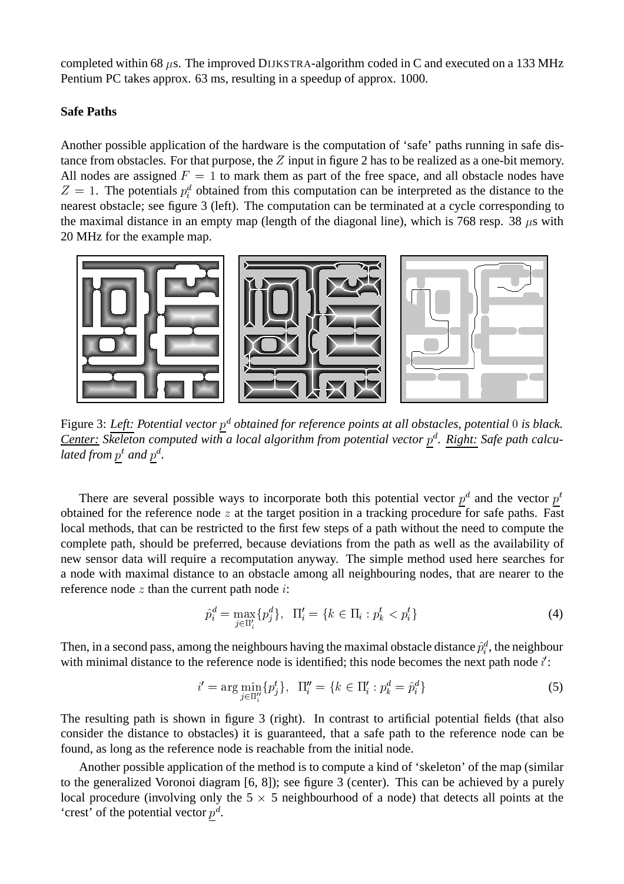completed within 68  $\mu$ s. The improved DIJKSTRA-algorithm coded in C and executed on a 133 MHz Pentium PC takes approx. 63 ms, resulting in a speedup of approx. 1000.

### **Safe Paths**

Another possible application of the hardware is the computation of 'safe' paths running in safe distance from obstacles. For that purpose, the  $Z$  input in figure 2 has to be realized as a one-bit memory. All nodes are assigned  $F = 1$  to mark them as part of the free space, and all obstacle nodes have  $Z = 1$ . The potentials  $p_i^d$  obtained from this computation can be interpreted as the distance to the nearest obstacle; see figure 3 (left). The computation can be terminated at a cycle corresponding to the maximal distance in an empty map (length of the diagonal line), which is 768 resp. 38  $\mu$ s with 20 MHz for the example map.



Figure 3: *Left: Potential vector p<sup>d</sup> obtained for reference points at all obstacles, potential* 0 is black. Center: Skeleton computed with a local algorithm from potential vector  $p^d$ . Right: Safe path calculated from  $p^t$  and  $p^d$ .

There are several possible ways to incorporate both this potential vector  $p^d$  and the vector  $p^t$ obtained for the reference node  $z$  at the target position in a tracking procedure for safe paths. Fast local methods, that can be restricted to the first few steps of a path without the need to compute the complete path, should be preferred, because deviations from the path as well as the availability of new sensor data will require a recomputation anyway. The simple method used here searches for a node with maximal distance to an obstacle among all neighbouring nodes, that are nearer to the reference node  $z$  than the current path node  $i$ :

$$
\hat{p}_i^d = \max_{j \in \Pi_i'} \{p_j^d\}, \ \ \Pi_i' = \{k \in \Pi_i : p_k^t < p_i^t\} \tag{4}
$$

Then, in a second pass, among the neighbours having the maximal obstacle distance  $\hat{p}_i^d$ , the neighbour with minimal distance to the reference node is identified; this node becomes the next path node  $i'$ :

$$
i' = \arg\min_{j \in \Pi_i''} \{p_j^t\}, \ \ \Pi_i'' = \{k \in \Pi_i' : p_k^d = \hat{p}_i^d\} \tag{5}
$$

The resulting path is shown in figure 3 (right). In contrast to artificial potential fields (that also consider the distance to obstacles) it is guaranteed, that a safe path to the reference node can be found, as long as the reference node is reachable from the initial node.

Another possible application of the method is to compute a kind of 'skeleton' of the map (similar to the generalized Voronoi diagram [6, 8]); see figure 3 (center). This can be achieved by a purely local procedure (involving only the  $5 \times 5$  neighbourhood of a node) that detects all points at the 'crest' of the potential vector  $p^d$ .